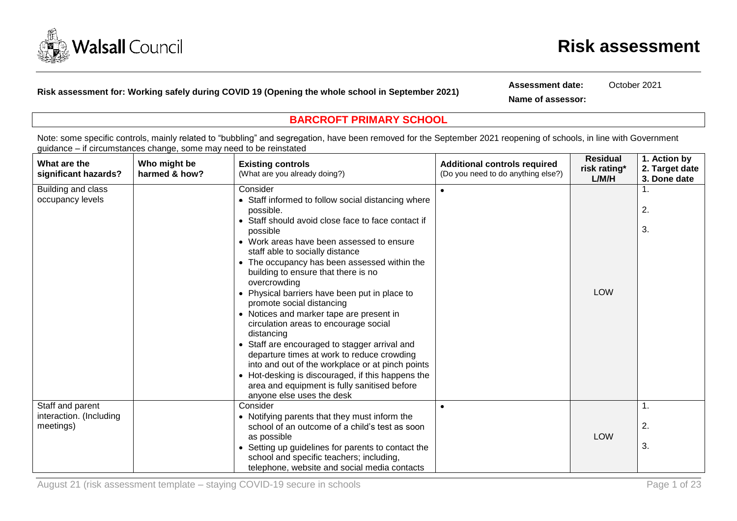

**Risk assessment for: Working safely during COVID 19 (Opening the whole school in September 2021)**

**Assessment date:** October 2021

**Name of assessor:**

## **BARCROFT PRIMARY SCHOOL**

Note: some specific controls, mainly related to "bubbling" and segregation, have been removed for the September 2021 reopening of schools, in line with Government guidance – if circumstances change, some may need to be reinstated

| What are the<br>significant hazards?   | Who might be<br>harmed & how? | <b>Existing controls</b><br>(What are you already doing?)                                                                                       | <b>Additional controls required</b><br>(Do you need to do anything else?) | <b>Residual</b><br>risk rating*<br>L/M/H | 1. Action by<br>2. Target date<br>3. Done date |
|----------------------------------------|-------------------------------|-------------------------------------------------------------------------------------------------------------------------------------------------|---------------------------------------------------------------------------|------------------------------------------|------------------------------------------------|
| Building and class<br>occupancy levels |                               | Consider<br>• Staff informed to follow social distancing where                                                                                  |                                                                           |                                          |                                                |
|                                        |                               | possible.                                                                                                                                       |                                                                           |                                          | 2.                                             |
|                                        |                               | • Staff should avoid close face to face contact if<br>possible                                                                                  |                                                                           |                                          | 3.                                             |
|                                        |                               | • Work areas have been assessed to ensure<br>staff able to socially distance                                                                    |                                                                           |                                          |                                                |
|                                        |                               | • The occupancy has been assessed within the<br>building to ensure that there is no<br>overcrowding                                             |                                                                           |                                          |                                                |
|                                        |                               | • Physical barriers have been put in place to<br>promote social distancing                                                                      |                                                                           | <b>LOW</b>                               |                                                |
|                                        |                               | • Notices and marker tape are present in<br>circulation areas to encourage social<br>distancing                                                 |                                                                           |                                          |                                                |
|                                        |                               | • Staff are encouraged to stagger arrival and<br>departure times at work to reduce crowding<br>into and out of the workplace or at pinch points |                                                                           |                                          |                                                |
|                                        |                               | • Hot-desking is discouraged, if this happens the<br>area and equipment is fully sanitised before<br>anyone else uses the desk                  |                                                                           |                                          |                                                |
| Staff and parent                       |                               | Consider                                                                                                                                        |                                                                           |                                          | 1.                                             |
| interaction. (Including<br>meetings)   |                               | • Notifying parents that they must inform the<br>school of an outcome of a child's test as soon                                                 |                                                                           |                                          | 2.                                             |
|                                        |                               | as possible<br>• Setting up guidelines for parents to contact the<br>school and specific teachers; including,                                   |                                                                           | <b>LOW</b>                               | 3.                                             |
|                                        |                               | telephone, website and social media contacts                                                                                                    |                                                                           |                                          |                                                |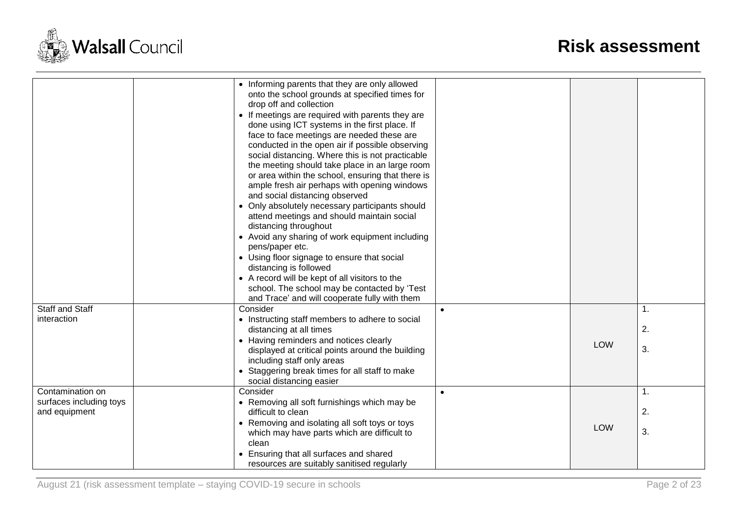

|                         | • Informing parents that they are only allowed                                                    |           |            |    |
|-------------------------|---------------------------------------------------------------------------------------------------|-----------|------------|----|
|                         | onto the school grounds at specified times for                                                    |           |            |    |
|                         | drop off and collection                                                                           |           |            |    |
|                         | • If meetings are required with parents they are                                                  |           |            |    |
|                         | done using ICT systems in the first place. If                                                     |           |            |    |
|                         | face to face meetings are needed these are                                                        |           |            |    |
|                         | conducted in the open air if possible observing                                                   |           |            |    |
|                         | social distancing. Where this is not practicable                                                  |           |            |    |
|                         | the meeting should take place in an large room                                                    |           |            |    |
|                         | or area within the school, ensuring that there is<br>ample fresh air perhaps with opening windows |           |            |    |
|                         | and social distancing observed                                                                    |           |            |    |
|                         | • Only absolutely necessary participants should                                                   |           |            |    |
|                         | attend meetings and should maintain social                                                        |           |            |    |
|                         | distancing throughout                                                                             |           |            |    |
|                         | • Avoid any sharing of work equipment including                                                   |           |            |    |
|                         | pens/paper etc.                                                                                   |           |            |    |
|                         | • Using floor signage to ensure that social                                                       |           |            |    |
|                         | distancing is followed                                                                            |           |            |    |
|                         | • A record will be kept of all visitors to the                                                    |           |            |    |
|                         | school. The school may be contacted by 'Test                                                      |           |            |    |
|                         | and Trace' and will cooperate fully with them                                                     |           |            |    |
| <b>Staff and Staff</b>  | Consider                                                                                          | $\bullet$ |            | 1. |
| interaction             | • Instructing staff members to adhere to social                                                   |           |            |    |
|                         | distancing at all times                                                                           |           |            | 2. |
|                         | • Having reminders and notices clearly                                                            |           | <b>LOW</b> |    |
|                         | displayed at critical points around the building                                                  |           |            | 3. |
|                         | including staff only areas                                                                        |           |            |    |
|                         | • Staggering break times for all staff to make                                                    |           |            |    |
|                         | social distancing easier                                                                          |           |            |    |
| Contamination on        | Consider                                                                                          | $\bullet$ |            | 1. |
| surfaces including toys | • Removing all soft furnishings which may be                                                      |           |            |    |
| and equipment           | difficult to clean                                                                                |           |            | 2. |
|                         | • Removing and isolating all soft toys or toys<br>which may have parts which are difficult to     |           | <b>LOW</b> | 3. |
|                         | clean                                                                                             |           |            |    |
|                         | Ensuring that all surfaces and shared                                                             |           |            |    |
|                         | resources are suitably sanitised regularly                                                        |           |            |    |
|                         |                                                                                                   |           |            |    |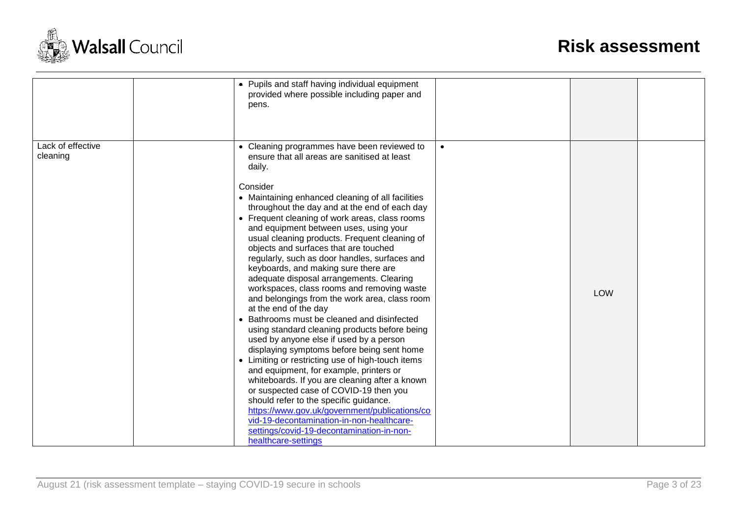

|                               | pens.                                                              | • Pupils and staff having individual equipment<br>provided where possible including paper and                                                                                                                                                                                                                                                                                                                                                                                                                                                                                                                                                                                                                                                                                                                                                                                                                                                                                                                                                                                                                                                                                                         |           |            |  |
|-------------------------------|--------------------------------------------------------------------|-------------------------------------------------------------------------------------------------------------------------------------------------------------------------------------------------------------------------------------------------------------------------------------------------------------------------------------------------------------------------------------------------------------------------------------------------------------------------------------------------------------------------------------------------------------------------------------------------------------------------------------------------------------------------------------------------------------------------------------------------------------------------------------------------------------------------------------------------------------------------------------------------------------------------------------------------------------------------------------------------------------------------------------------------------------------------------------------------------------------------------------------------------------------------------------------------------|-----------|------------|--|
| Lack of effective<br>cleaning | daily.<br>Consider<br>at the end of the day<br>healthcare-settings | • Cleaning programmes have been reviewed to<br>ensure that all areas are sanitised at least<br>• Maintaining enhanced cleaning of all facilities<br>throughout the day and at the end of each day<br>• Frequent cleaning of work areas, class rooms<br>and equipment between uses, using your<br>usual cleaning products. Frequent cleaning of<br>objects and surfaces that are touched<br>regularly, such as door handles, surfaces and<br>keyboards, and making sure there are<br>adequate disposal arrangements. Clearing<br>workspaces, class rooms and removing waste<br>and belongings from the work area, class room<br>• Bathrooms must be cleaned and disinfected<br>using standard cleaning products before being<br>used by anyone else if used by a person<br>displaying symptoms before being sent home<br>• Limiting or restricting use of high-touch items<br>and equipment, for example, printers or<br>whiteboards. If you are cleaning after a known<br>or suspected case of COVID-19 then you<br>should refer to the specific guidance.<br>https://www.gov.uk/government/publications/co<br>vid-19-decontamination-in-non-healthcare-<br>settings/covid-19-decontamination-in-non- | $\bullet$ | <b>LOW</b> |  |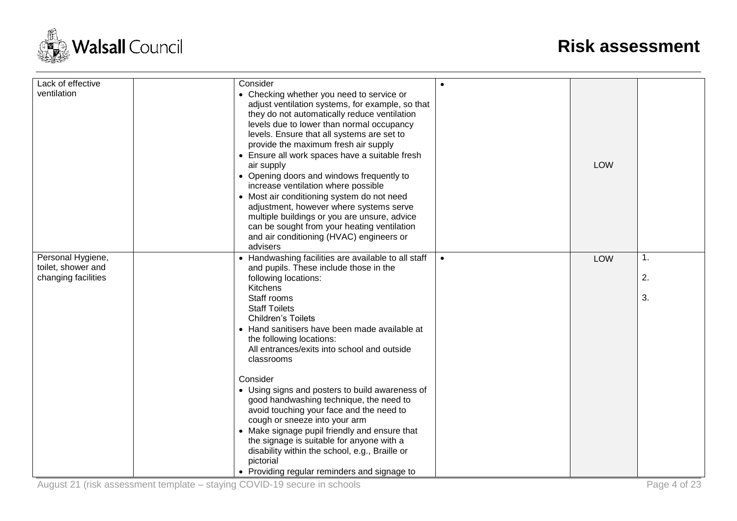

| Lack of effective                       | Consider                                                                                                                                                                                                                                                                                                                                                                                                                                                                                                                                                                                                                                                                             | $\bullet$ |            |    |
|-----------------------------------------|--------------------------------------------------------------------------------------------------------------------------------------------------------------------------------------------------------------------------------------------------------------------------------------------------------------------------------------------------------------------------------------------------------------------------------------------------------------------------------------------------------------------------------------------------------------------------------------------------------------------------------------------------------------------------------------|-----------|------------|----|
| ventilation                             | • Checking whether you need to service or<br>adjust ventilation systems, for example, so that<br>they do not automatically reduce ventilation<br>levels due to lower than normal occupancy<br>levels. Ensure that all systems are set to<br>provide the maximum fresh air supply<br>• Ensure all work spaces have a suitable fresh<br>air supply<br>• Opening doors and windows frequently to<br>increase ventilation where possible<br>• Most air conditioning system do not need<br>adjustment, however where systems serve<br>multiple buildings or you are unsure, advice<br>can be sought from your heating ventilation<br>and air conditioning (HVAC) engineers or<br>advisers |           | <b>LOW</b> |    |
| Personal Hygiene,<br>toilet, shower and | • Handwashing facilities are available to all staff<br>and pupils. These include those in the                                                                                                                                                                                                                                                                                                                                                                                                                                                                                                                                                                                        | $\bullet$ | LOW        | 1. |
| changing facilities                     | following locations:<br>Kitchens                                                                                                                                                                                                                                                                                                                                                                                                                                                                                                                                                                                                                                                     |           |            | 2. |
|                                         | Staff rooms<br><b>Staff Toilets</b><br><b>Children's Toilets</b>                                                                                                                                                                                                                                                                                                                                                                                                                                                                                                                                                                                                                     |           |            | 3. |
|                                         | • Hand sanitisers have been made available at<br>the following locations:<br>All entrances/exits into school and outside                                                                                                                                                                                                                                                                                                                                                                                                                                                                                                                                                             |           |            |    |
|                                         | classrooms                                                                                                                                                                                                                                                                                                                                                                                                                                                                                                                                                                                                                                                                           |           |            |    |
|                                         | Consider                                                                                                                                                                                                                                                                                                                                                                                                                                                                                                                                                                                                                                                                             |           |            |    |
|                                         | • Using signs and posters to build awareness of                                                                                                                                                                                                                                                                                                                                                                                                                                                                                                                                                                                                                                      |           |            |    |
|                                         | good handwashing technique, the need to                                                                                                                                                                                                                                                                                                                                                                                                                                                                                                                                                                                                                                              |           |            |    |
|                                         | avoid touching your face and the need to<br>cough or sneeze into your arm                                                                                                                                                                                                                                                                                                                                                                                                                                                                                                                                                                                                            |           |            |    |
|                                         | • Make signage pupil friendly and ensure that                                                                                                                                                                                                                                                                                                                                                                                                                                                                                                                                                                                                                                        |           |            |    |
|                                         | the signage is suitable for anyone with a                                                                                                                                                                                                                                                                                                                                                                                                                                                                                                                                                                                                                                            |           |            |    |
|                                         | disability within the school, e.g., Braille or                                                                                                                                                                                                                                                                                                                                                                                                                                                                                                                                                                                                                                       |           |            |    |
|                                         | pictorial                                                                                                                                                                                                                                                                                                                                                                                                                                                                                                                                                                                                                                                                            |           |            |    |
|                                         | • Providing regular reminders and signage to                                                                                                                                                                                                                                                                                                                                                                                                                                                                                                                                                                                                                                         |           |            |    |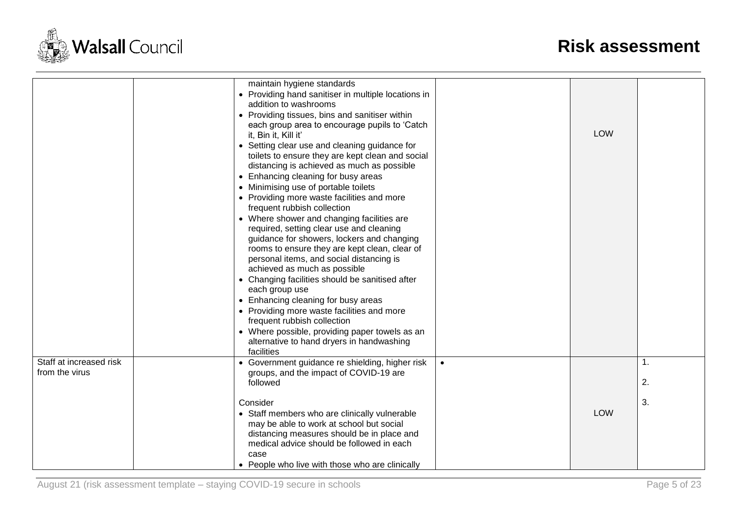

|                                           | maintain hygiene standards<br>• Providing hand sanitiser in multiple locations in<br>addition to washrooms<br>• Providing tissues, bins and sanitiser within<br>each group area to encourage pupils to 'Catch<br>it, Bin it, Kill it'<br>• Setting clear use and cleaning guidance for<br>toilets to ensure they are kept clean and social<br>distancing is achieved as much as possible<br>• Enhancing cleaning for busy areas<br>• Minimising use of portable toilets<br>• Providing more waste facilities and more<br>frequent rubbish collection<br>• Where shower and changing facilities are<br>required, setting clear use and cleaning<br>guidance for showers, lockers and changing<br>rooms to ensure they are kept clean, clear of<br>personal items, and social distancing is<br>achieved as much as possible<br>• Changing facilities should be sanitised after<br>each group use<br>• Enhancing cleaning for busy areas<br>• Providing more waste facilities and more<br>frequent rubbish collection<br>• Where possible, providing paper towels as an<br>alternative to hand dryers in handwashing<br>facilities |           | <b>LOW</b> |          |
|-------------------------------------------|---------------------------------------------------------------------------------------------------------------------------------------------------------------------------------------------------------------------------------------------------------------------------------------------------------------------------------------------------------------------------------------------------------------------------------------------------------------------------------------------------------------------------------------------------------------------------------------------------------------------------------------------------------------------------------------------------------------------------------------------------------------------------------------------------------------------------------------------------------------------------------------------------------------------------------------------------------------------------------------------------------------------------------------------------------------------------------------------------------------------------------|-----------|------------|----------|
| Staff at increased risk<br>from the virus | • Government guidance re shielding, higher risk<br>groups, and the impact of COVID-19 are<br>followed                                                                                                                                                                                                                                                                                                                                                                                                                                                                                                                                                                                                                                                                                                                                                                                                                                                                                                                                                                                                                           | $\bullet$ |            | 1.<br>2. |
|                                           | Consider<br>• Staff members who are clinically vulnerable<br>may be able to work at school but social<br>distancing measures should be in place and<br>medical advice should be followed in each<br>case<br>• People who live with those who are clinically                                                                                                                                                                                                                                                                                                                                                                                                                                                                                                                                                                                                                                                                                                                                                                                                                                                                     |           | <b>LOW</b> | 3.       |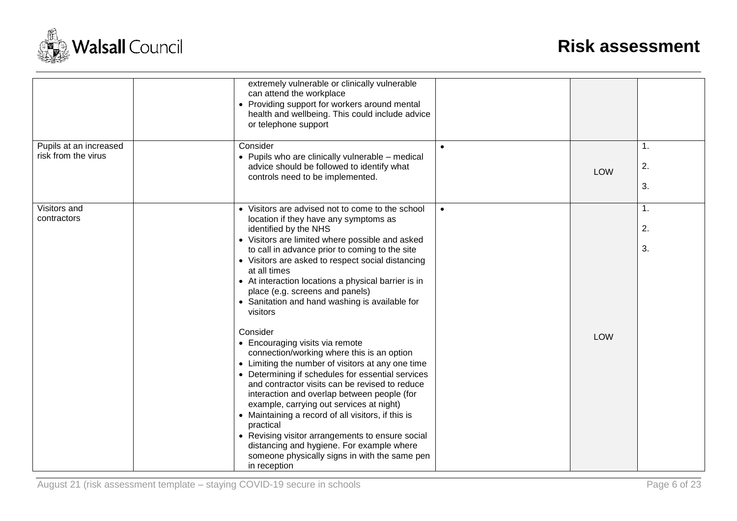

|                                               | extremely vulnerable or clinically vulnerable<br>can attend the workplace<br>• Providing support for workers around mental<br>health and wellbeing. This could include advice<br>or telephone support                                                                                                                                                                                                                                                                                                                                                                                 |           |            |                |
|-----------------------------------------------|---------------------------------------------------------------------------------------------------------------------------------------------------------------------------------------------------------------------------------------------------------------------------------------------------------------------------------------------------------------------------------------------------------------------------------------------------------------------------------------------------------------------------------------------------------------------------------------|-----------|------------|----------------|
| Pupils at an increased<br>risk from the virus | Consider<br>• Pupils who are clinically vulnerable - medical<br>advice should be followed to identify what<br>controls need to be implemented.                                                                                                                                                                                                                                                                                                                                                                                                                                        |           | <b>LOW</b> | 1.<br>2.<br>3. |
| Visitors and<br>contractors                   | • Visitors are advised not to come to the school<br>location if they have any symptoms as<br>identified by the NHS<br>• Visitors are limited where possible and asked<br>to call in advance prior to coming to the site<br>• Visitors are asked to respect social distancing<br>at all times<br>• At interaction locations a physical barrier is in<br>place (e.g. screens and panels)<br>• Sanitation and hand washing is available for<br>visitors                                                                                                                                  | $\bullet$ |            | 1.<br>2.<br>3. |
|                                               | Consider<br>• Encouraging visits via remote<br>connection/working where this is an option<br>• Limiting the number of visitors at any one time<br>• Determining if schedules for essential services<br>and contractor visits can be revised to reduce<br>interaction and overlap between people (for<br>example, carrying out services at night)<br>• Maintaining a record of all visitors, if this is<br>practical<br>• Revising visitor arrangements to ensure social<br>distancing and hygiene. For example where<br>someone physically signs in with the same pen<br>in reception |           | <b>LOW</b> |                |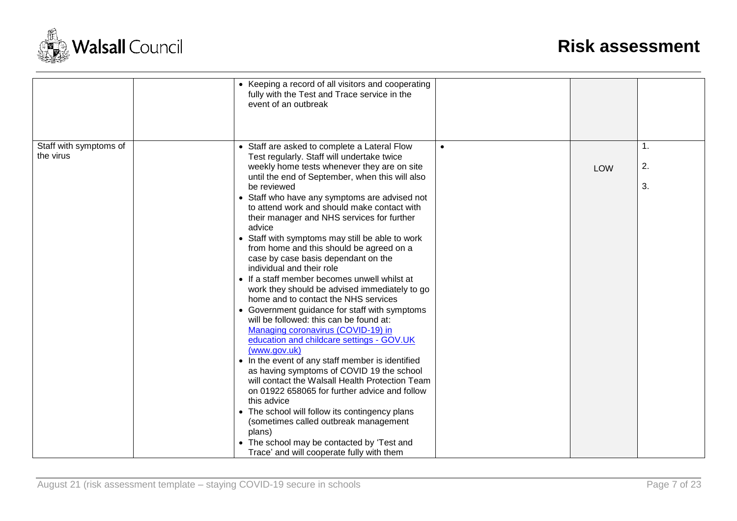

|                                     | • Keeping a record of all visitors and cooperating<br>fully with the Test and Trace service in the<br>event of an outbreak                                                                                                                                                                                                                                                                                                                                                                                                                                                                                                                                                                                                                                                                                                                                                                                                                                                                                                                                                                                                                           |           |            |                |
|-------------------------------------|------------------------------------------------------------------------------------------------------------------------------------------------------------------------------------------------------------------------------------------------------------------------------------------------------------------------------------------------------------------------------------------------------------------------------------------------------------------------------------------------------------------------------------------------------------------------------------------------------------------------------------------------------------------------------------------------------------------------------------------------------------------------------------------------------------------------------------------------------------------------------------------------------------------------------------------------------------------------------------------------------------------------------------------------------------------------------------------------------------------------------------------------------|-----------|------------|----------------|
| Staff with symptoms of<br>the virus | • Staff are asked to complete a Lateral Flow<br>Test regularly. Staff will undertake twice<br>weekly home tests whenever they are on site<br>until the end of September, when this will also<br>be reviewed<br>• Staff who have any symptoms are advised not<br>to attend work and should make contact with<br>their manager and NHS services for further<br>advice<br>• Staff with symptoms may still be able to work<br>from home and this should be agreed on a<br>case by case basis dependant on the<br>individual and their role<br>• If a staff member becomes unwell whilst at<br>work they should be advised immediately to go<br>home and to contact the NHS services<br>• Government guidance for staff with symptoms<br>will be followed: this can be found at:<br>Managing coronavirus (COVID-19) in<br>education and childcare settings - GOV.UK<br>(www.gov.uk)<br>• In the event of any staff member is identified<br>as having symptoms of COVID 19 the school<br>will contact the Walsall Health Protection Team<br>on 01922 658065 for further advice and follow<br>this advice<br>• The school will follow its contingency plans | $\bullet$ | <b>LOW</b> | 1.<br>2.<br>3. |
|                                     | (sometimes called outbreak management<br>plans)<br>• The school may be contacted by 'Test and<br>Trace' and will cooperate fully with them                                                                                                                                                                                                                                                                                                                                                                                                                                                                                                                                                                                                                                                                                                                                                                                                                                                                                                                                                                                                           |           |            |                |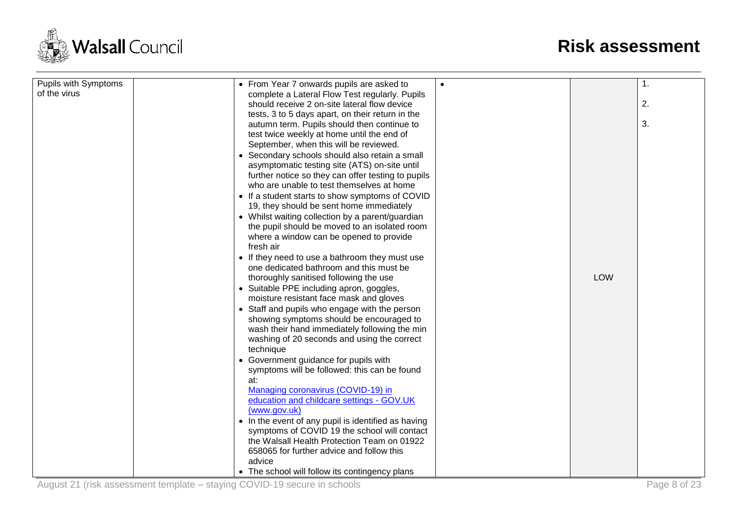

| <b>Pupils with Symptoms</b><br>of the virus | • From Year 7 onwards pupils are asked to<br>complete a Lateral Flow Test regularly. Pupils | $\bullet$ |            | 1. |
|---------------------------------------------|---------------------------------------------------------------------------------------------|-----------|------------|----|
|                                             | should receive 2 on-site lateral flow device                                                |           |            | 2. |
|                                             |                                                                                             |           |            |    |
|                                             | tests, 3 to 5 days apart, on their return in the                                            |           |            | 3. |
|                                             | autumn term. Pupils should then continue to                                                 |           |            |    |
|                                             | test twice weekly at home until the end of                                                  |           |            |    |
|                                             | September, when this will be reviewed.                                                      |           |            |    |
|                                             | • Secondary schools should also retain a small                                              |           |            |    |
|                                             | asymptomatic testing site (ATS) on-site until                                               |           |            |    |
|                                             | further notice so they can offer testing to pupils                                          |           |            |    |
|                                             | who are unable to test themselves at home                                                   |           |            |    |
|                                             | • If a student starts to show symptoms of COVID                                             |           |            |    |
|                                             | 19, they should be sent home immediately                                                    |           |            |    |
|                                             | • Whilst waiting collection by a parent/guardian                                            |           |            |    |
|                                             | the pupil should be moved to an isolated room                                               |           |            |    |
|                                             | where a window can be opened to provide                                                     |           |            |    |
|                                             | fresh air                                                                                   |           |            |    |
|                                             | • If they need to use a bathroom they must use                                              |           |            |    |
|                                             | one dedicated bathroom and this must be                                                     |           |            |    |
|                                             | thoroughly sanitised following the use                                                      |           | <b>LOW</b> |    |
|                                             | • Suitable PPE including apron, goggles,                                                    |           |            |    |
|                                             | moisture resistant face mask and gloves                                                     |           |            |    |
|                                             | • Staff and pupils who engage with the person                                               |           |            |    |
|                                             | showing symptoms should be encouraged to                                                    |           |            |    |
|                                             | wash their hand immediately following the min                                               |           |            |    |
|                                             | washing of 20 seconds and using the correct                                                 |           |            |    |
|                                             | technique                                                                                   |           |            |    |
|                                             | • Government guidance for pupils with                                                       |           |            |    |
|                                             | symptoms will be followed: this can be found                                                |           |            |    |
|                                             | at:                                                                                         |           |            |    |
|                                             | Managing coronavirus (COVID-19) in                                                          |           |            |    |
|                                             | education and childcare settings - GOV.UK                                                   |           |            |    |
|                                             | (www.gov.uk)                                                                                |           |            |    |
|                                             | • In the event of any pupil is identified as having                                         |           |            |    |
|                                             | symptoms of COVID 19 the school will contact                                                |           |            |    |
|                                             | the Walsall Health Protection Team on 01922                                                 |           |            |    |
|                                             | 658065 for further advice and follow this                                                   |           |            |    |
|                                             | advice                                                                                      |           |            |    |
|                                             | • The school will follow its contingency plans                                              |           |            |    |
|                                             |                                                                                             |           |            |    |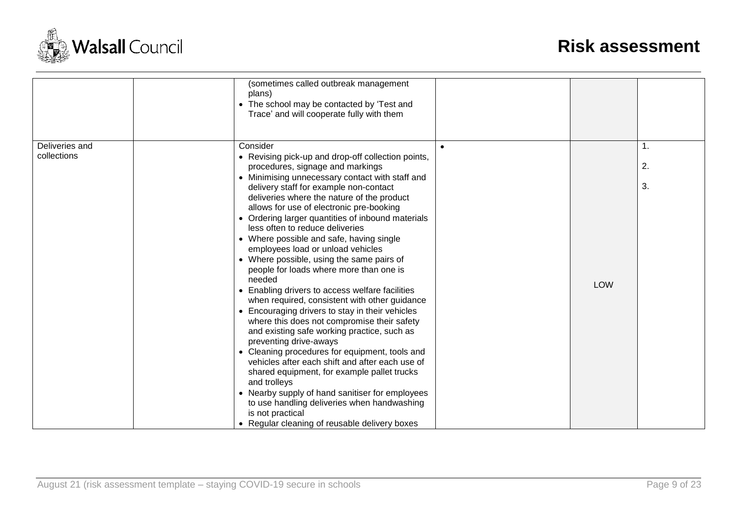

|                | (sometimes called outbreak management<br>plans)<br>• The school may be contacted by 'Test and<br>Trace' and will cooperate fully with them                                                                                                                                  |            |                |
|----------------|-----------------------------------------------------------------------------------------------------------------------------------------------------------------------------------------------------------------------------------------------------------------------------|------------|----------------|
| Deliveries and | Consider<br>$\bullet$                                                                                                                                                                                                                                                       |            | $\mathbf{1}$ . |
| collections    | • Revising pick-up and drop-off collection points,<br>procedures, signage and markings                                                                                                                                                                                      |            | 2.             |
|                | • Minimising unnecessary contact with staff and<br>delivery staff for example non-contact<br>deliveries where the nature of the product<br>allows for use of electronic pre-booking<br>• Ordering larger quantities of inbound materials<br>less often to reduce deliveries |            | 3.             |
|                | • Where possible and safe, having single<br>employees load or unload vehicles                                                                                                                                                                                               |            |                |
|                | • Where possible, using the same pairs of<br>people for loads where more than one is<br>needed                                                                                                                                                                              | <b>LOW</b> |                |
|                | • Enabling drivers to access welfare facilities<br>when required, consistent with other guidance                                                                                                                                                                            |            |                |
|                | • Encouraging drivers to stay in their vehicles<br>where this does not compromise their safety<br>and existing safe working practice, such as<br>preventing drive-aways                                                                                                     |            |                |
|                | • Cleaning procedures for equipment, tools and<br>vehicles after each shift and after each use of<br>shared equipment, for example pallet trucks<br>and trolleys                                                                                                            |            |                |
|                | • Nearby supply of hand sanitiser for employees<br>to use handling deliveries when handwashing<br>is not practical<br>• Regular cleaning of reusable delivery boxes                                                                                                         |            |                |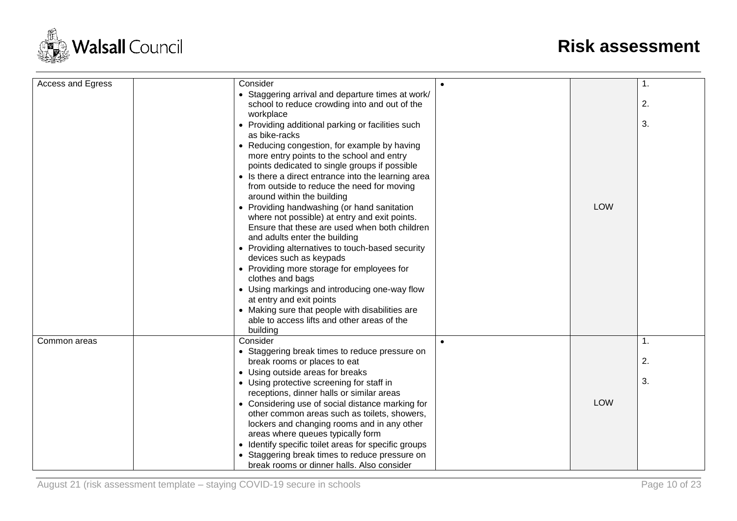

| Access and Egress | Consider                                                                    |           |            | 1. |
|-------------------|-----------------------------------------------------------------------------|-----------|------------|----|
|                   | • Staggering arrival and departure times at work/                           |           |            |    |
|                   | school to reduce crowding into and out of the                               |           |            | 2. |
|                   | workplace                                                                   |           |            |    |
|                   | • Providing additional parking or facilities such                           |           |            | 3. |
|                   | as bike-racks                                                               |           |            |    |
|                   | • Reducing congestion, for example by having                                |           |            |    |
|                   | more entry points to the school and entry                                   |           |            |    |
|                   | points dedicated to single groups if possible                               |           |            |    |
|                   | • Is there a direct entrance into the learning area                         |           |            |    |
|                   | from outside to reduce the need for moving                                  |           |            |    |
|                   | around within the building                                                  |           |            |    |
|                   | • Providing handwashing (or hand sanitation                                 |           | <b>LOW</b> |    |
|                   | where not possible) at entry and exit points.                               |           |            |    |
|                   | Ensure that these are used when both children                               |           |            |    |
|                   | and adults enter the building                                               |           |            |    |
|                   | • Providing alternatives to touch-based security<br>devices such as keypads |           |            |    |
|                   | • Providing more storage for employees for                                  |           |            |    |
|                   | clothes and bags                                                            |           |            |    |
|                   | • Using markings and introducing one-way flow                               |           |            |    |
|                   | at entry and exit points                                                    |           |            |    |
|                   | • Making sure that people with disabilities are                             |           |            |    |
|                   | able to access lifts and other areas of the                                 |           |            |    |
|                   | building                                                                    |           |            |    |
| Common areas      | Consider                                                                    | $\bullet$ |            | 1. |
|                   | • Staggering break times to reduce pressure on                              |           |            |    |
|                   | break rooms or places to eat                                                |           |            | 2. |
|                   | • Using outside areas for breaks                                            |           |            |    |
|                   | • Using protective screening for staff in                                   |           |            | 3. |
|                   | receptions, dinner halls or similar areas                                   |           |            |    |
|                   | • Considering use of social distance marking for                            |           | <b>LOW</b> |    |
|                   | other common areas such as toilets, showers,                                |           |            |    |
|                   | lockers and changing rooms and in any other                                 |           |            |    |
|                   | areas where queues typically form                                           |           |            |    |
|                   | • Identify specific toilet areas for specific groups                        |           |            |    |
|                   | • Staggering break times to reduce pressure on                              |           |            |    |
|                   | break rooms or dinner halls. Also consider                                  |           |            |    |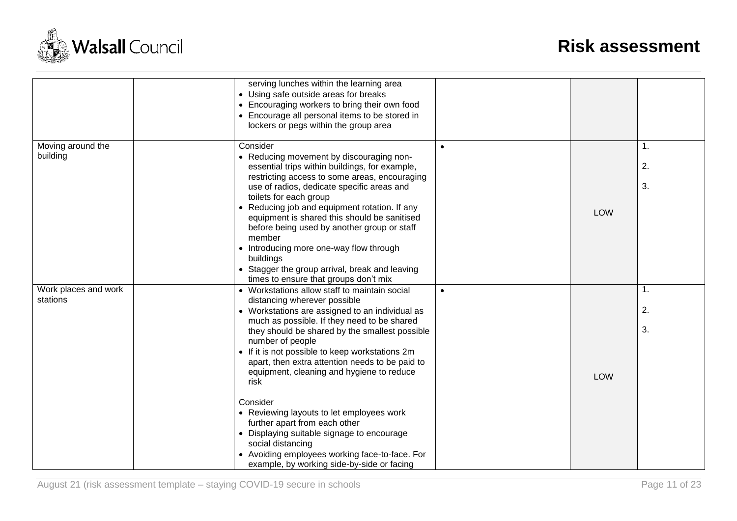

|                                  | serving lunches within the learning area<br>• Using safe outside areas for breaks<br>• Encouraging workers to bring their own food<br>• Encourage all personal items to be stored in<br>lockers or pegs within the group area                                                                                                                                                                                                                                                                                                                            |           |            |                            |
|----------------------------------|----------------------------------------------------------------------------------------------------------------------------------------------------------------------------------------------------------------------------------------------------------------------------------------------------------------------------------------------------------------------------------------------------------------------------------------------------------------------------------------------------------------------------------------------------------|-----------|------------|----------------------------|
| Moving around the<br>building    | Consider<br>• Reducing movement by discouraging non-<br>essential trips within buildings, for example,<br>restricting access to some areas, encouraging<br>use of radios, dedicate specific areas and<br>toilets for each group<br>• Reducing job and equipment rotation. If any<br>equipment is shared this should be sanitised<br>before being used by another group or staff<br>member<br>• Introducing more one-way flow through<br>buildings<br>• Stagger the group arrival, break and leaving<br>times to ensure that groups don't mix             | $\bullet$ | LOW        | $\mathbf{1}$ .<br>2.<br>3. |
| Work places and work<br>stations | • Workstations allow staff to maintain social<br>distancing wherever possible<br>• Workstations are assigned to an individual as<br>much as possible. If they need to be shared<br>they should be shared by the smallest possible<br>number of people<br>• If it is not possible to keep workstations 2m<br>apart, then extra attention needs to be paid to<br>equipment, cleaning and hygiene to reduce<br>risk<br>Consider<br>• Reviewing layouts to let employees work<br>further apart from each other<br>• Displaying suitable signage to encourage | $\bullet$ | <b>LOW</b> | 1.<br>2.<br>3.             |
|                                  | social distancing<br>• Avoiding employees working face-to-face. For<br>example, by working side-by-side or facing                                                                                                                                                                                                                                                                                                                                                                                                                                        |           |            |                            |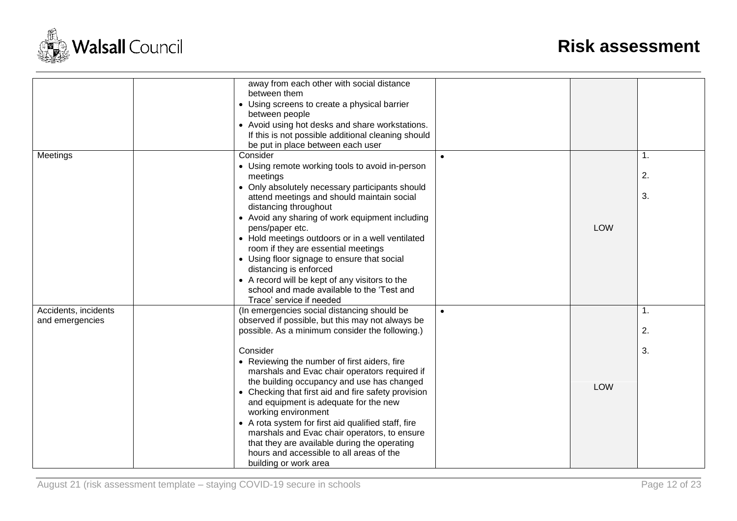

|                      | away from each other with social distance           |           |            |                |
|----------------------|-----------------------------------------------------|-----------|------------|----------------|
|                      | between them                                        |           |            |                |
|                      | • Using screens to create a physical barrier        |           |            |                |
|                      | between people                                      |           |            |                |
|                      | • Avoid using hot desks and share workstations.     |           |            |                |
|                      | If this is not possible additional cleaning should  |           |            |                |
|                      | be put in place between each user                   |           |            |                |
| Meetings             | Consider                                            | $\bullet$ |            | $\mathbf{1}$ . |
|                      | • Using remote working tools to avoid in-person     |           |            |                |
|                      | meetings                                            |           |            | 2.             |
|                      | • Only absolutely necessary participants should     |           |            |                |
|                      | attend meetings and should maintain social          |           |            | 3.             |
|                      | distancing throughout                               |           |            |                |
|                      | • Avoid any sharing of work equipment including     |           |            |                |
|                      | pens/paper etc.                                     |           | LOW        |                |
|                      | • Hold meetings outdoors or in a well ventilated    |           |            |                |
|                      | room if they are essential meetings                 |           |            |                |
|                      | • Using floor signage to ensure that social         |           |            |                |
|                      | distancing is enforced                              |           |            |                |
|                      | • A record will be kept of any visitors to the      |           |            |                |
|                      | school and made available to the 'Test and          |           |            |                |
|                      | Trace' service if needed                            |           |            |                |
| Accidents, incidents | (In emergencies social distancing should be         | $\bullet$ |            | 1.             |
| and emergencies      | observed if possible, but this may not always be    |           |            |                |
|                      | possible. As a minimum consider the following.)     |           |            | 2.             |
|                      |                                                     |           |            |                |
|                      | Consider                                            |           |            | 3.             |
|                      | • Reviewing the number of first aiders, fire        |           |            |                |
|                      | marshals and Evac chair operators required if       |           |            |                |
|                      | the building occupancy and use has changed          |           | <b>LOW</b> |                |
|                      | • Checking that first aid and fire safety provision |           |            |                |
|                      | and equipment is adequate for the new               |           |            |                |
|                      | working environment                                 |           |            |                |
|                      | • A rota system for first aid qualified staff, fire |           |            |                |
|                      | marshals and Evac chair operators, to ensure        |           |            |                |
|                      | that they are available during the operating        |           |            |                |
|                      | hours and accessible to all areas of the            |           |            |                |
|                      | building or work area                               |           |            |                |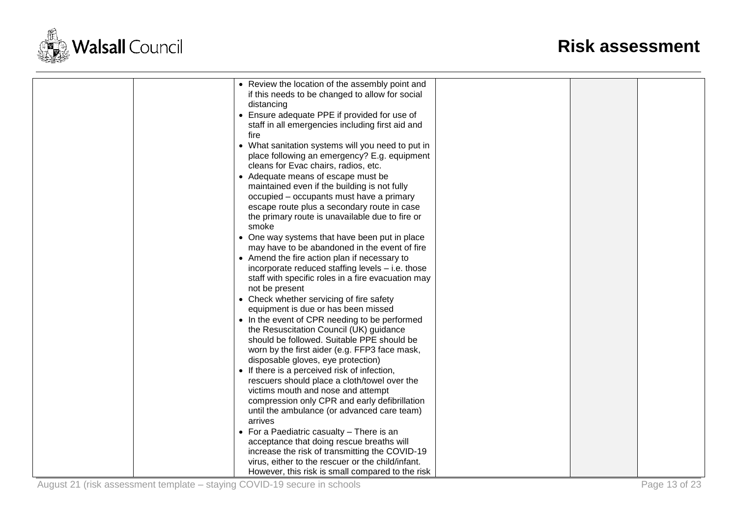

|  | • Review the location of the assembly point and    |  |  |
|--|----------------------------------------------------|--|--|
|  | if this needs to be changed to allow for social    |  |  |
|  | distancing                                         |  |  |
|  | • Ensure adequate PPE if provided for use of       |  |  |
|  | staff in all emergencies including first aid and   |  |  |
|  | fire                                               |  |  |
|  | • What sanitation systems will you need to put in  |  |  |
|  | place following an emergency? E.g. equipment       |  |  |
|  | cleans for Evac chairs, radios, etc.               |  |  |
|  | • Adequate means of escape must be                 |  |  |
|  | maintained even if the building is not fully       |  |  |
|  | occupied - occupants must have a primary           |  |  |
|  | escape route plus a secondary route in case        |  |  |
|  | the primary route is unavailable due to fire or    |  |  |
|  | smoke                                              |  |  |
|  | • One way systems that have been put in place      |  |  |
|  | may have to be abandoned in the event of fire      |  |  |
|  | • Amend the fire action plan if necessary to       |  |  |
|  | incorporate reduced staffing levels $-$ i.e. those |  |  |
|  | staff with specific roles in a fire evacuation may |  |  |
|  |                                                    |  |  |
|  | not be present                                     |  |  |
|  | • Check whether servicing of fire safety           |  |  |
|  | equipment is due or has been missed                |  |  |
|  | • In the event of CPR needing to be performed      |  |  |
|  | the Resuscitation Council (UK) guidance            |  |  |
|  | should be followed. Suitable PPE should be         |  |  |
|  | worn by the first aider (e.g. FFP3 face mask,      |  |  |
|  | disposable gloves, eye protection)                 |  |  |
|  | • If there is a perceived risk of infection,       |  |  |
|  | rescuers should place a cloth/towel over the       |  |  |
|  | victims mouth and nose and attempt                 |  |  |
|  | compression only CPR and early defibrillation      |  |  |
|  | until the ambulance (or advanced care team)        |  |  |
|  | arrives                                            |  |  |
|  | • For a Paediatric casualty - There is an          |  |  |
|  | acceptance that doing rescue breaths will          |  |  |
|  | increase the risk of transmitting the COVID-19     |  |  |
|  | virus, either to the rescuer or the child/infant.  |  |  |
|  | However, this risk is small compared to the risk   |  |  |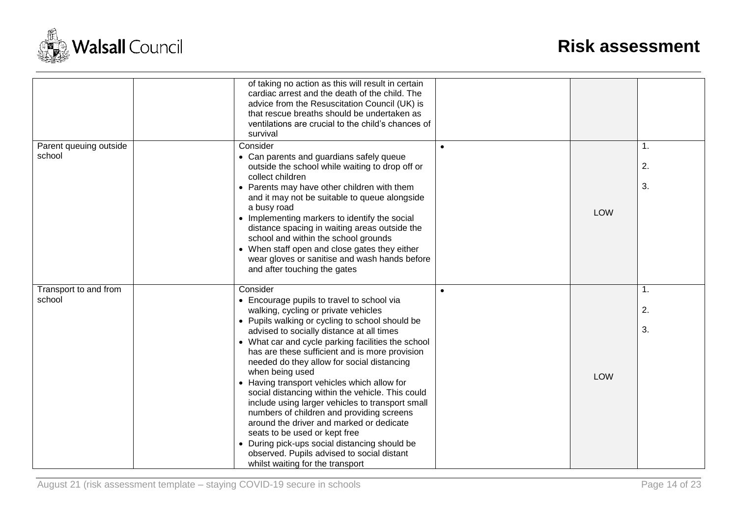

| of taking no action as this will result in certain<br>cardiac arrest and the death of the child. The<br>advice from the Resuscitation Council (UK) is<br>that rescue breaths should be undertaken as<br>ventilations are crucial to the child's chances of<br>survival                  |                                                                                                                                                                                                                     |     |            |
|-----------------------------------------------------------------------------------------------------------------------------------------------------------------------------------------------------------------------------------------------------------------------------------------|---------------------------------------------------------------------------------------------------------------------------------------------------------------------------------------------------------------------|-----|------------|
| Consider                                                                                                                                                                                                                                                                                | $\bullet$                                                                                                                                                                                                           |     | 1.         |
| outside the school while waiting to drop off or                                                                                                                                                                                                                                         |                                                                                                                                                                                                                     |     | 2.         |
| • Parents may have other children with them<br>and it may not be suitable to queue alongside                                                                                                                                                                                            |                                                                                                                                                                                                                     |     | 3.         |
| a busy road<br>• Implementing markers to identify the social<br>distance spacing in waiting areas outside the<br>school and within the school grounds<br>• When staff open and close gates they either<br>wear gloves or sanitise and wash hands before<br>and after touching the gates |                                                                                                                                                                                                                     | LOW |            |
| Consider                                                                                                                                                                                                                                                                                | $\bullet$                                                                                                                                                                                                           |     | 1.         |
| • Encourage pupils to travel to school via<br>walking, cycling or private vehicles                                                                                                                                                                                                      |                                                                                                                                                                                                                     |     | 2.         |
| advised to socially distance at all times                                                                                                                                                                                                                                               |                                                                                                                                                                                                                     |     | 3.         |
| has are these sufficient and is more provision                                                                                                                                                                                                                                          |                                                                                                                                                                                                                     |     |            |
| when being used                                                                                                                                                                                                                                                                         |                                                                                                                                                                                                                     |     |            |
| • Having transport vehicles which allow for                                                                                                                                                                                                                                             |                                                                                                                                                                                                                     |     |            |
| social distancing within the vehicle. This could                                                                                                                                                                                                                                        |                                                                                                                                                                                                                     |     |            |
| include using larger vehicles to transport small<br>numbers of children and providing screens<br>around the driver and marked or dedicate                                                                                                                                               |                                                                                                                                                                                                                     |     |            |
| seats to be used or kept free<br>• During pick-ups social distancing should be                                                                                                                                                                                                          |                                                                                                                                                                                                                     |     |            |
|                                                                                                                                                                                                                                                                                         | • Can parents and guardians safely queue<br>collect children<br>• Pupils walking or cycling to school should be<br>• What car and cycle parking facilities the school<br>needed do they allow for social distancing |     | <b>LOW</b> |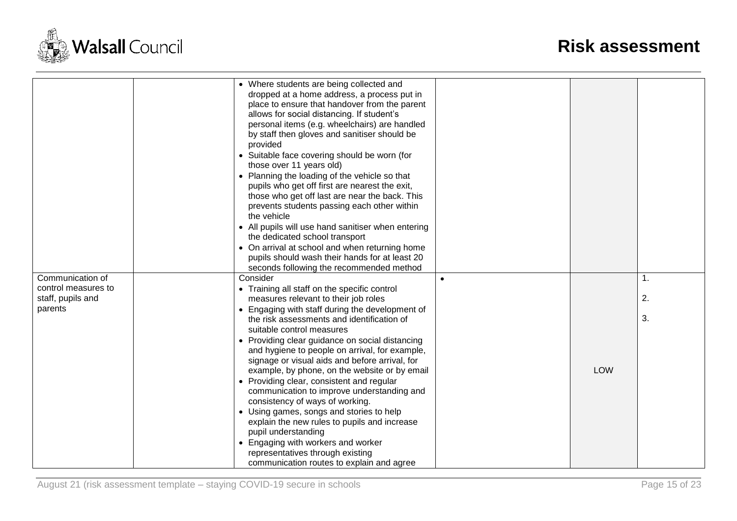

|                              | • Where students are being collected and<br>dropped at a home address, a process put in<br>place to ensure that handover from the parent<br>allows for social distancing. If student's<br>personal items (e.g. wheelchairs) are handled<br>by staff then gloves and sanitiser should be<br>provided<br>• Suitable face covering should be worn (for<br>those over 11 years old)<br>• Planning the loading of the vehicle so that<br>pupils who get off first are nearest the exit,<br>those who get off last are near the back. This<br>prevents students passing each other within<br>the vehicle<br>• All pupils will use hand sanitiser when entering<br>the dedicated school transport<br>• On arrival at school and when returning home<br>pupils should wash their hands for at least 20<br>seconds following the recommended method |            |    |
|------------------------------|--------------------------------------------------------------------------------------------------------------------------------------------------------------------------------------------------------------------------------------------------------------------------------------------------------------------------------------------------------------------------------------------------------------------------------------------------------------------------------------------------------------------------------------------------------------------------------------------------------------------------------------------------------------------------------------------------------------------------------------------------------------------------------------------------------------------------------------------|------------|----|
|                              |                                                                                                                                                                                                                                                                                                                                                                                                                                                                                                                                                                                                                                                                                                                                                                                                                                            |            |    |
| Communication of             | Consider                                                                                                                                                                                                                                                                                                                                                                                                                                                                                                                                                                                                                                                                                                                                                                                                                                   |            | 1. |
| control measures to          | • Training all staff on the specific control                                                                                                                                                                                                                                                                                                                                                                                                                                                                                                                                                                                                                                                                                                                                                                                               |            |    |
| staff, pupils and<br>parents | measures relevant to their job roles                                                                                                                                                                                                                                                                                                                                                                                                                                                                                                                                                                                                                                                                                                                                                                                                       |            | 2. |
|                              | • Engaging with staff during the development of<br>the risk assessments and identification of                                                                                                                                                                                                                                                                                                                                                                                                                                                                                                                                                                                                                                                                                                                                              |            | 3. |
|                              | suitable control measures                                                                                                                                                                                                                                                                                                                                                                                                                                                                                                                                                                                                                                                                                                                                                                                                                  |            |    |
|                              | • Providing clear guidance on social distancing                                                                                                                                                                                                                                                                                                                                                                                                                                                                                                                                                                                                                                                                                                                                                                                            |            |    |
|                              | and hygiene to people on arrival, for example,                                                                                                                                                                                                                                                                                                                                                                                                                                                                                                                                                                                                                                                                                                                                                                                             |            |    |
|                              | signage or visual aids and before arrival, for                                                                                                                                                                                                                                                                                                                                                                                                                                                                                                                                                                                                                                                                                                                                                                                             |            |    |
|                              | example, by phone, on the website or by email                                                                                                                                                                                                                                                                                                                                                                                                                                                                                                                                                                                                                                                                                                                                                                                              | <b>LOW</b> |    |
|                              | • Providing clear, consistent and regular                                                                                                                                                                                                                                                                                                                                                                                                                                                                                                                                                                                                                                                                                                                                                                                                  |            |    |
|                              | communication to improve understanding and                                                                                                                                                                                                                                                                                                                                                                                                                                                                                                                                                                                                                                                                                                                                                                                                 |            |    |
|                              | consistency of ways of working.                                                                                                                                                                                                                                                                                                                                                                                                                                                                                                                                                                                                                                                                                                                                                                                                            |            |    |
|                              | • Using games, songs and stories to help                                                                                                                                                                                                                                                                                                                                                                                                                                                                                                                                                                                                                                                                                                                                                                                                   |            |    |
|                              | explain the new rules to pupils and increase<br>pupil understanding                                                                                                                                                                                                                                                                                                                                                                                                                                                                                                                                                                                                                                                                                                                                                                        |            |    |
|                              | • Engaging with workers and worker                                                                                                                                                                                                                                                                                                                                                                                                                                                                                                                                                                                                                                                                                                                                                                                                         |            |    |
|                              | representatives through existing                                                                                                                                                                                                                                                                                                                                                                                                                                                                                                                                                                                                                                                                                                                                                                                                           |            |    |
|                              | communication routes to explain and agree                                                                                                                                                                                                                                                                                                                                                                                                                                                                                                                                                                                                                                                                                                                                                                                                  |            |    |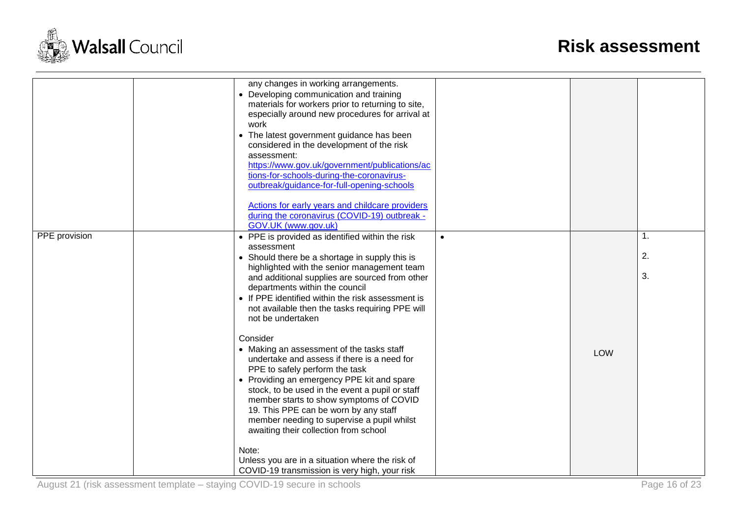

|               | work              | any changes in working arrangements.<br>• Developing communication and training<br>materials for workers prior to returning to site,<br>especially around new procedures for arrival at<br>• The latest government guidance has been<br>considered in the development of the risk<br>assessment:<br>https://www.gov.uk/government/publications/ac<br>tions-for-schools-during-the-coronavirus-<br>outbreak/guidance-for-full-opening-schools<br>Actions for early years and childcare providers<br>during the coronavirus (COVID-19) outbreak -<br>GOV.UK (www.gov.uk) |           |            |                |
|---------------|-------------------|------------------------------------------------------------------------------------------------------------------------------------------------------------------------------------------------------------------------------------------------------------------------------------------------------------------------------------------------------------------------------------------------------------------------------------------------------------------------------------------------------------------------------------------------------------------------|-----------|------------|----------------|
| PPE provision |                   | • PPE is provided as identified within the risk<br>assessment<br>• Should there be a shortage in supply this is<br>highlighted with the senior management team<br>and additional supplies are sourced from other<br>departments within the council<br>• If PPE identified within the risk assessment is<br>not available then the tasks requiring PPE will<br>not be undertaken                                                                                                                                                                                        | $\bullet$ |            | 1.<br>2.<br>3. |
|               | Consider<br>Note: | • Making an assessment of the tasks staff<br>undertake and assess if there is a need for<br>PPE to safely perform the task<br>• Providing an emergency PPE kit and spare<br>stock, to be used in the event a pupil or staff<br>member starts to show symptoms of COVID<br>19. This PPE can be worn by any staff<br>member needing to supervise a pupil whilst<br>awaiting their collection from school<br>Unless you are in a situation where the risk of<br>COVID-19 transmission is very high, your risk                                                             |           | <b>LOW</b> |                |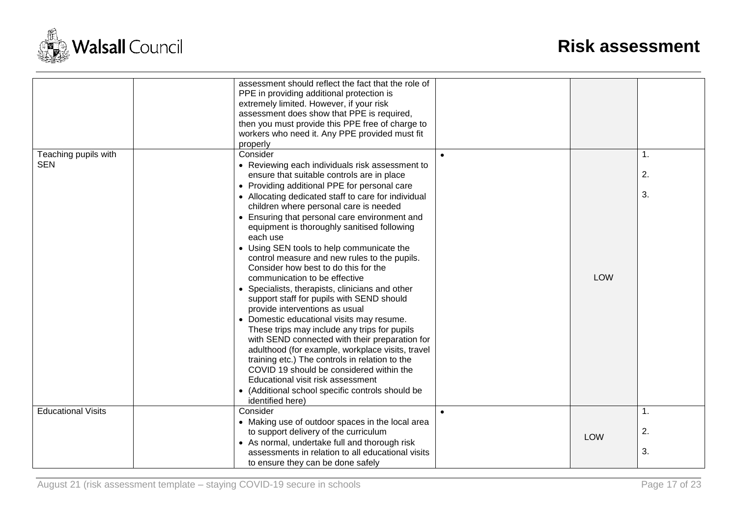

|                           | assessment should reflect the fact that the role of<br>PPE in providing additional protection is<br>extremely limited. However, if your risk<br>assessment does show that PPE is required,<br>then you must provide this PPE free of charge to |           |            |    |
|---------------------------|------------------------------------------------------------------------------------------------------------------------------------------------------------------------------------------------------------------------------------------------|-----------|------------|----|
|                           | workers who need it. Any PPE provided must fit                                                                                                                                                                                                 |           |            |    |
|                           | properly                                                                                                                                                                                                                                       |           |            |    |
| Teaching pupils with      | Consider                                                                                                                                                                                                                                       | $\bullet$ |            | 1. |
| <b>SEN</b>                | • Reviewing each individuals risk assessment to<br>ensure that suitable controls are in place                                                                                                                                                  |           |            | 2. |
|                           | • Providing additional PPE for personal care                                                                                                                                                                                                   |           |            |    |
|                           | • Allocating dedicated staff to care for individual                                                                                                                                                                                            |           |            | 3. |
|                           | children where personal care is needed                                                                                                                                                                                                         |           |            |    |
|                           | • Ensuring that personal care environment and<br>equipment is thoroughly sanitised following                                                                                                                                                   |           |            |    |
|                           | each use                                                                                                                                                                                                                                       |           |            |    |
|                           | • Using SEN tools to help communicate the                                                                                                                                                                                                      |           |            |    |
|                           | control measure and new rules to the pupils.                                                                                                                                                                                                   |           |            |    |
|                           | Consider how best to do this for the                                                                                                                                                                                                           |           |            |    |
|                           | communication to be effective                                                                                                                                                                                                                  |           | <b>LOW</b> |    |
|                           | • Specialists, therapists, clinicians and other                                                                                                                                                                                                |           |            |    |
|                           | support staff for pupils with SEND should                                                                                                                                                                                                      |           |            |    |
|                           | provide interventions as usual                                                                                                                                                                                                                 |           |            |    |
|                           | • Domestic educational visits may resume.                                                                                                                                                                                                      |           |            |    |
|                           | These trips may include any trips for pupils                                                                                                                                                                                                   |           |            |    |
|                           | with SEND connected with their preparation for                                                                                                                                                                                                 |           |            |    |
|                           | adulthood (for example, workplace visits, travel                                                                                                                                                                                               |           |            |    |
|                           | training etc.) The controls in relation to the                                                                                                                                                                                                 |           |            |    |
|                           | COVID 19 should be considered within the                                                                                                                                                                                                       |           |            |    |
|                           | Educational visit risk assessment                                                                                                                                                                                                              |           |            |    |
|                           | • (Additional school specific controls should be                                                                                                                                                                                               |           |            |    |
|                           | identified here)                                                                                                                                                                                                                               |           |            |    |
| <b>Educational Visits</b> | Consider                                                                                                                                                                                                                                       | $\bullet$ |            | 1. |
|                           | • Making use of outdoor spaces in the local area                                                                                                                                                                                               |           |            |    |
|                           | to support delivery of the curriculum                                                                                                                                                                                                          |           | <b>LOW</b> | 2. |
|                           | • As normal, undertake full and thorough risk                                                                                                                                                                                                  |           |            |    |
|                           | assessments in relation to all educational visits                                                                                                                                                                                              |           |            | 3. |
|                           | to ensure they can be done safely                                                                                                                                                                                                              |           |            |    |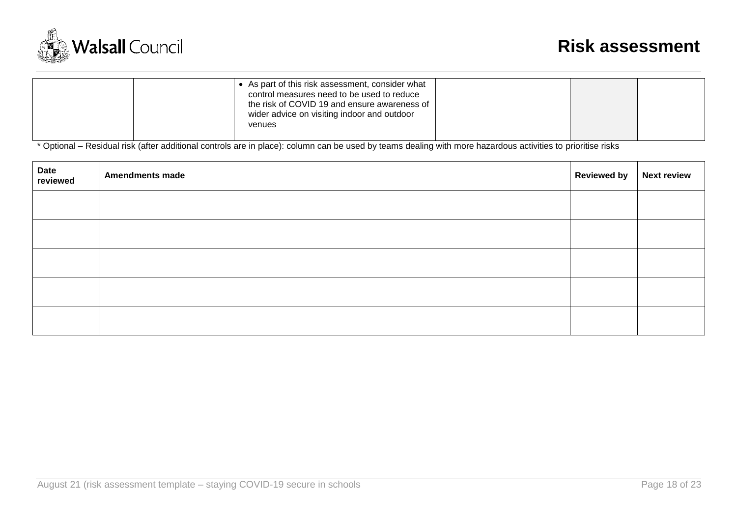

\* Optional – Residual risk (after additional controls are in place): column can be used by teams dealing with more hazardous activities to prioritise risks

| <sup>l</sup> Date<br>reviewed | <b>Amendments made</b> | <b>Reviewed by</b> | <b>Next review</b> |
|-------------------------------|------------------------|--------------------|--------------------|
|                               |                        |                    |                    |
|                               |                        |                    |                    |
|                               |                        |                    |                    |
|                               |                        |                    |                    |
|                               |                        |                    |                    |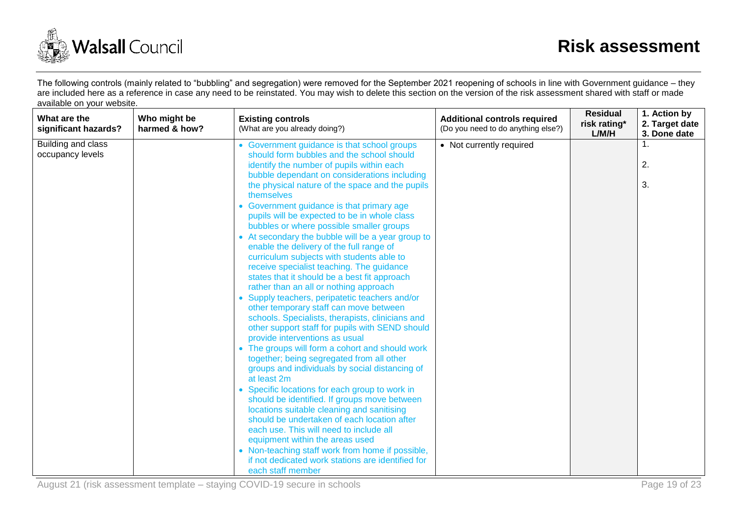

The following controls (mainly related to "bubbling" and segregation) were removed for the September 2021 reopening of schools in line with Government guidance – they are included here as a reference in case any need to be reinstated. You may wish to delete this section on the version of the risk assessment shared with staff or made available on your website.

| What are the<br>significant hazards?   | Who might be<br>harmed & how? | <b>Existing controls</b><br>(What are you already doing?)                                                                                    | <b>Additional controls required</b><br>(Do you need to do anything else?) | <b>Residual</b><br>risk rating*<br>L/M/H | 1. Action by<br>2. Target date<br>3. Done date |
|----------------------------------------|-------------------------------|----------------------------------------------------------------------------------------------------------------------------------------------|---------------------------------------------------------------------------|------------------------------------------|------------------------------------------------|
| Building and class<br>occupancy levels |                               | • Government guidance is that school groups<br>should form bubbles and the school should<br>identify the number of pupils within each        | • Not currently required                                                  |                                          | 1.<br>2.                                       |
|                                        |                               | bubble dependant on considerations including<br>the physical nature of the space and the pupils<br>themselves                                |                                                                           |                                          | 3.                                             |
|                                        |                               | • Government guidance is that primary age<br>pupils will be expected to be in whole class<br>bubbles or where possible smaller groups        |                                                                           |                                          |                                                |
|                                        |                               | • At secondary the bubble will be a year group to<br>enable the delivery of the full range of<br>curriculum subjects with students able to   |                                                                           |                                          |                                                |
|                                        |                               | receive specialist teaching. The guidance<br>states that it should be a best fit approach<br>rather than an all or nothing approach          |                                                                           |                                          |                                                |
|                                        |                               | • Supply teachers, peripatetic teachers and/or<br>other temporary staff can move between<br>schools. Specialists, therapists, clinicians and |                                                                           |                                          |                                                |
|                                        |                               | other support staff for pupils with SEND should<br>provide interventions as usual<br>• The groups will form a cohort and should work         |                                                                           |                                          |                                                |
|                                        |                               | together; being segregated from all other<br>groups and individuals by social distancing of<br>at least 2m                                   |                                                                           |                                          |                                                |
|                                        |                               | • Specific locations for each group to work in<br>should be identified. If groups move between                                               |                                                                           |                                          |                                                |
|                                        |                               | should be undertaken of each location after<br>each use. This will need to include all                                                       |                                                                           |                                          |                                                |
|                                        |                               | • Non-teaching staff work from home if possible,<br>if not dedicated work stations are identified for                                        |                                                                           |                                          |                                                |
|                                        |                               | locations suitable cleaning and sanitising<br>equipment within the areas used<br>each staff member                                           |                                                                           |                                          |                                                |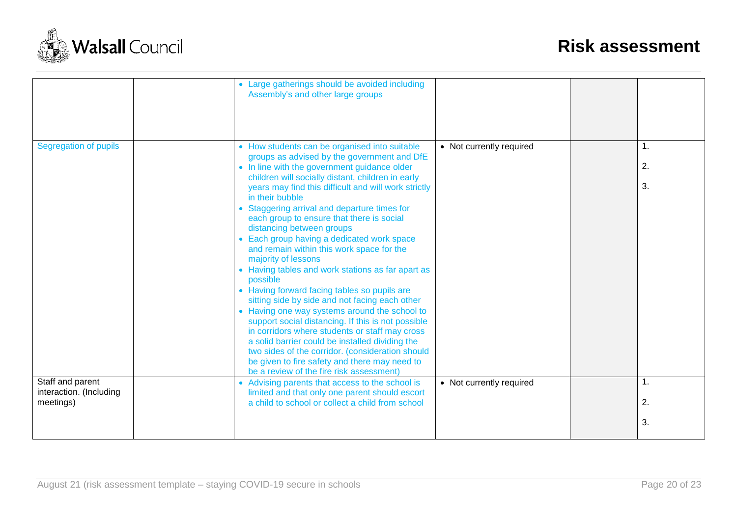

|                                             | • Large gatherings should be avoided including                                                      |                          |                |
|---------------------------------------------|-----------------------------------------------------------------------------------------------------|--------------------------|----------------|
|                                             | Assembly's and other large groups                                                                   |                          |                |
|                                             |                                                                                                     |                          |                |
|                                             |                                                                                                     |                          |                |
|                                             |                                                                                                     |                          |                |
| Segregation of pupils                       | • How students can be organised into suitable                                                       | • Not currently required | $\mathbf{1}$ . |
|                                             | groups as advised by the government and DfE                                                         |                          |                |
|                                             | • In line with the government guidance older                                                        |                          | 2.             |
|                                             | children will socially distant, children in early                                                   |                          |                |
|                                             | years may find this difficult and will work strictly                                                |                          | 3.             |
|                                             | in their bubble                                                                                     |                          |                |
|                                             | • Staggering arrival and departure times for                                                        |                          |                |
|                                             | each group to ensure that there is social<br>distancing between groups                              |                          |                |
|                                             | • Each group having a dedicated work space                                                          |                          |                |
|                                             | and remain within this work space for the                                                           |                          |                |
|                                             | majority of lessons                                                                                 |                          |                |
|                                             | • Having tables and work stations as far apart as                                                   |                          |                |
|                                             | possible                                                                                            |                          |                |
|                                             | • Having forward facing tables so pupils are                                                        |                          |                |
|                                             | sitting side by side and not facing each other                                                      |                          |                |
|                                             | • Having one way systems around the school to<br>support social distancing. If this is not possible |                          |                |
|                                             | in corridors where students or staff may cross                                                      |                          |                |
|                                             | a solid barrier could be installed dividing the                                                     |                          |                |
|                                             | two sides of the corridor. (consideration should                                                    |                          |                |
|                                             | be given to fire safety and there may need to                                                       |                          |                |
|                                             | be a review of the fire risk assessment)                                                            |                          |                |
| Staff and parent<br>interaction. (Including | • Advising parents that access to the school is                                                     | • Not currently required | 1.             |
| meetings)                                   | limited and that only one parent should escort<br>a child to school or collect a child from school  |                          | 2.             |
|                                             |                                                                                                     |                          |                |
|                                             |                                                                                                     |                          | 3.             |
|                                             |                                                                                                     |                          |                |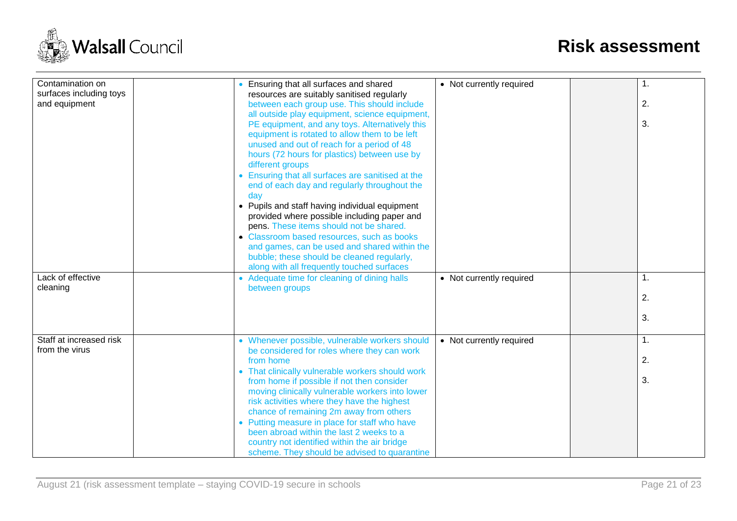

| Contamination on<br>surfaces including toys<br>and equipment | Ensuring that all surfaces and shared<br>resources are suitably sanitised regularly<br>between each group use. This should include                                                                                                              | • Not currently required | 1.<br>2.             |
|--------------------------------------------------------------|-------------------------------------------------------------------------------------------------------------------------------------------------------------------------------------------------------------------------------------------------|--------------------------|----------------------|
|                                                              | all outside play equipment, science equipment,<br>PE equipment, and any toys. Alternatively this<br>equipment is rotated to allow them to be left<br>unused and out of reach for a period of 48<br>hours (72 hours for plastics) between use by |                          | 3.                   |
|                                                              | different groups<br>• Ensuring that all surfaces are sanitised at the<br>end of each day and regularly throughout the<br>day                                                                                                                    |                          |                      |
|                                                              | • Pupils and staff having individual equipment<br>provided where possible including paper and<br>pens. These items should not be shared.<br>• Classroom based resources, such as books                                                          |                          |                      |
|                                                              | and games, can be used and shared within the<br>bubble; these should be cleaned regularly,<br>along with all frequently touched surfaces                                                                                                        |                          |                      |
| Lack of effective<br>cleaning                                | • Adequate time for cleaning of dining halls<br>between groups                                                                                                                                                                                  | • Not currently required | $\mathbf{1}$ .<br>2. |
|                                                              |                                                                                                                                                                                                                                                 |                          | 3.                   |
| Staff at increased risk<br>from the virus                    | • Whenever possible, vulnerable workers should<br>be considered for roles where they can work                                                                                                                                                   | • Not currently required | 1.                   |
|                                                              | from home<br>• That clinically vulnerable workers should work                                                                                                                                                                                   |                          | 2.                   |
|                                                              | from home if possible if not then consider<br>moving clinically vulnerable workers into lower<br>risk activities where they have the highest                                                                                                    |                          | 3.                   |
|                                                              | chance of remaining 2m away from others<br>• Putting measure in place for staff who have<br>been abroad within the last 2 weeks to a                                                                                                            |                          |                      |
|                                                              | country not identified within the air bridge<br>scheme. They should be advised to quarantine                                                                                                                                                    |                          |                      |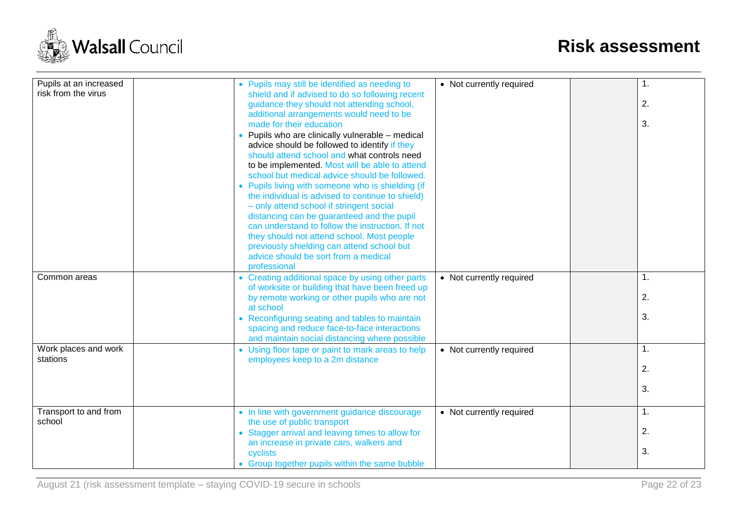

| Pupils at an increased | • Pupils may still be identified as needing to    | • Not currently required | 1. |
|------------------------|---------------------------------------------------|--------------------------|----|
| risk from the virus    | shield and if advised to do so following recent   |                          |    |
|                        |                                                   |                          |    |
|                        | guidance they should not attending school,        |                          | 2. |
|                        | additional arrangements would need to be          |                          |    |
|                        | made for their education                          |                          | 3. |
|                        | Pupils who are clinically vulnerable - medical    |                          |    |
|                        | advice should be followed to identify if they     |                          |    |
|                        | should attend school and what controls need       |                          |    |
|                        | to be implemented. Most will be able to attend    |                          |    |
|                        | school but medical advice should be followed.     |                          |    |
|                        | • Pupils living with someone who is shielding (if |                          |    |
|                        | the individual is advised to continue to shield)  |                          |    |
|                        | - only attend school if stringent social          |                          |    |
|                        | distancing can be guaranteed and the pupil        |                          |    |
|                        | can understand to follow the instruction. If not  |                          |    |
|                        | they should not attend school. Most people        |                          |    |
|                        | previously shielding can attend school but        |                          |    |
|                        | advice should be sort from a medical              |                          |    |
|                        | professional                                      |                          |    |
|                        |                                                   |                          | 1. |
| Common areas           | • Creating additional space by using other parts  | • Not currently required |    |
|                        | of worksite or building that have been freed up   |                          |    |
|                        | by remote working or other pupils who are not     |                          | 2. |
|                        | at school                                         |                          |    |
|                        | • Reconfiguring seating and tables to maintain    |                          | 3. |
|                        | spacing and reduce face-to-face interactions      |                          |    |
|                        | and maintain social distancing where possible     |                          |    |
| Work places and work   | • Using floor tape or paint to mark areas to help | • Not currently required | 1. |
| stations               | employees keep to a 2m distance                   |                          |    |
|                        |                                                   |                          | 2. |
|                        |                                                   |                          |    |
|                        |                                                   |                          | 3. |
|                        |                                                   |                          |    |
| Transport to and from  | • In line with government guidance discourage     | • Not currently required | 1. |
| school                 | the use of public transport                       |                          |    |
|                        | • Stagger arrival and leaving times to allow for  |                          | 2. |
|                        | an increase in private cars, walkers and          |                          |    |
|                        | cyclists                                          |                          | 3. |
|                        |                                                   |                          |    |
|                        | • Group together pupils within the same bubble    |                          |    |